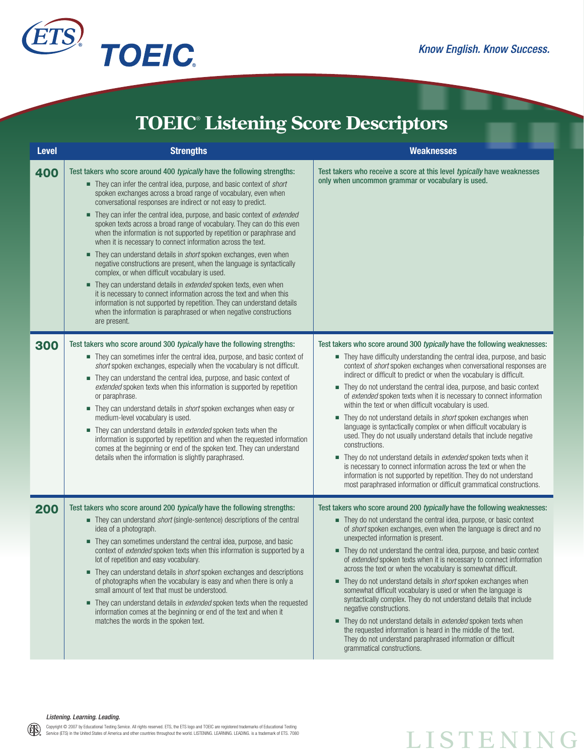

## **TOEIC**®  **Listening Score Descriptors**

| <b>Level</b> | <b>Strengths</b>                                                                                                                                                                                                                                                                                                                                                                                                                                                                                                                                                                                                                                                                                                                                                                                                                                                                                                                                                                                                                                                                                              | <b>Weaknesses</b>                                                                                                                                                                                                                                                                                                                                                                                                                                                                                                                                                                                                                                                                                                                                                                                                                                                                                                                                                                                                                              |
|--------------|---------------------------------------------------------------------------------------------------------------------------------------------------------------------------------------------------------------------------------------------------------------------------------------------------------------------------------------------------------------------------------------------------------------------------------------------------------------------------------------------------------------------------------------------------------------------------------------------------------------------------------------------------------------------------------------------------------------------------------------------------------------------------------------------------------------------------------------------------------------------------------------------------------------------------------------------------------------------------------------------------------------------------------------------------------------------------------------------------------------|------------------------------------------------------------------------------------------------------------------------------------------------------------------------------------------------------------------------------------------------------------------------------------------------------------------------------------------------------------------------------------------------------------------------------------------------------------------------------------------------------------------------------------------------------------------------------------------------------------------------------------------------------------------------------------------------------------------------------------------------------------------------------------------------------------------------------------------------------------------------------------------------------------------------------------------------------------------------------------------------------------------------------------------------|
| 400          | Test takers who score around 400 typically have the following strengths:<br>They can infer the central idea, purpose, and basic context of <i>short</i><br>spoken exchanges across a broad range of vocabulary, even when<br>conversational responses are indirect or not easy to predict.<br>They can infer the central idea, purpose, and basic context of extended<br>spoken texts across a broad range of vocabulary. They can do this even<br>when the information is not supported by repetition or paraphrase and<br>when it is necessary to connect information across the text.<br>■ They can understand details in <i>short</i> spoken exchanges, even when<br>negative constructions are present, when the language is syntactically<br>complex, or when difficult vocabulary is used.<br>They can understand details in extended spoken texts, even when<br>it is necessary to connect information across the text and when this<br>information is not supported by repetition. They can understand details<br>when the information is paraphrased or when negative constructions<br>are present. | Test takers who receive a score at this level typically have weaknesses<br>only when uncommon grammar or vocabulary is used.                                                                                                                                                                                                                                                                                                                                                                                                                                                                                                                                                                                                                                                                                                                                                                                                                                                                                                                   |
| 300          | Test takers who score around 300 typically have the following strengths:<br>• They can sometimes infer the central idea, purpose, and basic context of<br>short spoken exchanges, especially when the vocabulary is not difficult.<br>They can understand the central idea, purpose, and basic context of<br>extended spoken texts when this information is supported by repetition<br>or paraphrase.<br>They can understand details in <i>short</i> spoken exchanges when easy or<br>medium-level vocabulary is used.<br>They can understand details in extended spoken texts when the<br>information is supported by repetition and when the requested information<br>comes at the beginning or end of the spoken text. They can understand<br>details when the information is slightly paraphrased.                                                                                                                                                                                                                                                                                                        | Test takers who score around 300 typically have the following weaknesses:<br>• They have difficulty understanding the central idea, purpose, and basic<br>context of <i>short</i> spoken exchanges when conversational responses are<br>indirect or difficult to predict or when the vocabulary is difficult.<br>They do not understand the central idea, purpose, and basic context<br>of extended spoken texts when it is necessary to connect information<br>within the text or when difficult vocabulary is used.<br>They do not understand details in <i>short</i> spoken exchanges when<br>language is syntactically complex or when difficult vocabulary is<br>used. They do not usually understand details that include negative<br>constructions.<br>They do not understand details in extended spoken texts when it<br>is necessary to connect information across the text or when the<br>information is not supported by repetition. They do not understand<br>most paraphrased information or difficult grammatical constructions. |
| 200          | Test takers who score around 200 typically have the following strengths:<br>They can understand <i>short</i> (single-sentence) descriptions of the central<br>idea of a photograph.<br>• They can sometimes understand the central idea, purpose, and basic<br>context of extended spoken texts when this information is supported by a<br>lot of repetition and easy vocabulary.<br>They can understand details in <i>short</i> spoken exchanges and descriptions<br>of photographs when the vocabulary is easy and when there is only a<br>small amount of text that must be understood.<br>They can understand details in <i>extended</i> spoken texts when the requested<br>information comes at the beginning or end of the text and when it<br>matches the words in the spoken text.                                                                                                                                                                                                                                                                                                                    | Test takers who score around 200 typically have the following weaknesses:<br>• They do not understand the central idea, purpose, or basic context<br>of short spoken exchanges, even when the language is direct and no<br>unexpected information is present.<br>They do not understand the central idea, purpose, and basic context<br>of extended spoken texts when it is necessary to connect information<br>across the text or when the vocabulary is somewhat difficult.<br>■ They do not understand details in <i>short</i> spoken exchanges when<br>somewhat difficult vocabulary is used or when the language is<br>syntactically complex. They do not understand details that include<br>negative constructions.<br>They do not understand details in <i>extended</i> spoken texts when<br>the requested information is heard in the middle of the text.<br>They do not understand paraphrased information or difficult<br>grammatical constructions.                                                                                 |

*Listening. Learning. Leading.*

 $(ES)$ 

Copyright © 2007 by Educational Testing Service. All rights reserved. ETS, the ETS logo and TOEIC are registered trademarks of Educational Testing<br>Service (ETS) in the United States of America and other countries throughou

# **LISTENING**